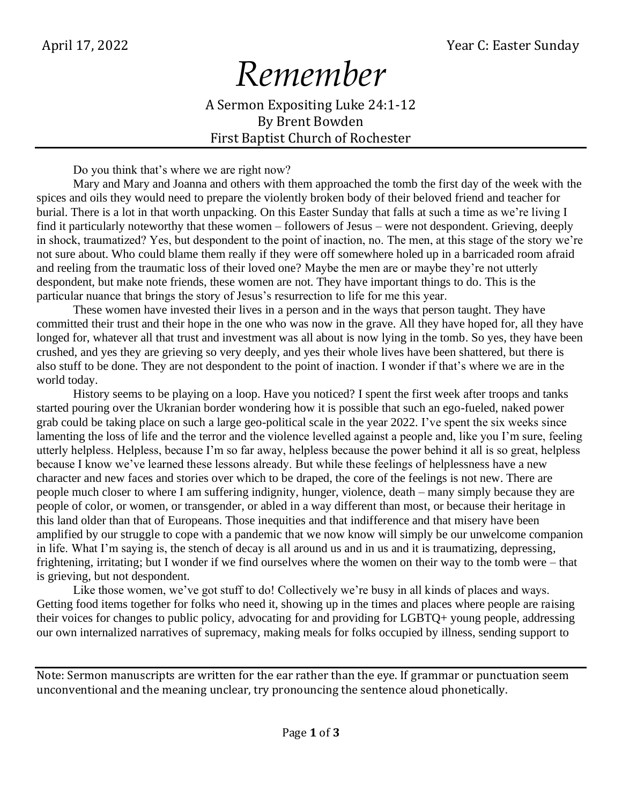## *Remember*

A Sermon Expositing Luke 24:1-12 By Brent Bowden First Baptist Church of Rochester

Do you think that's where we are right now?

Mary and Mary and Joanna and others with them approached the tomb the first day of the week with the spices and oils they would need to prepare the violently broken body of their beloved friend and teacher for burial. There is a lot in that worth unpacking. On this Easter Sunday that falls at such a time as we're living I find it particularly noteworthy that these women – followers of Jesus – were not despondent. Grieving, deeply in shock, traumatized? Yes, but despondent to the point of inaction, no. The men, at this stage of the story we're not sure about. Who could blame them really if they were off somewhere holed up in a barricaded room afraid and reeling from the traumatic loss of their loved one? Maybe the men are or maybe they're not utterly despondent, but make note friends, these women are not. They have important things to do. This is the particular nuance that brings the story of Jesus's resurrection to life for me this year.

These women have invested their lives in a person and in the ways that person taught. They have committed their trust and their hope in the one who was now in the grave. All they have hoped for, all they have longed for, whatever all that trust and investment was all about is now lying in the tomb. So yes, they have been crushed, and yes they are grieving so very deeply, and yes their whole lives have been shattered, but there is also stuff to be done. They are not despondent to the point of inaction. I wonder if that's where we are in the world today.

History seems to be playing on a loop. Have you noticed? I spent the first week after troops and tanks started pouring over the Ukranian border wondering how it is possible that such an ego-fueled, naked power grab could be taking place on such a large geo-political scale in the year 2022. I've spent the six weeks since lamenting the loss of life and the terror and the violence levelled against a people and, like you I'm sure, feeling utterly helpless. Helpless, because I'm so far away, helpless because the power behind it all is so great, helpless because I know we've learned these lessons already. But while these feelings of helplessness have a new character and new faces and stories over which to be draped, the core of the feelings is not new. There are people much closer to where I am suffering indignity, hunger, violence, death – many simply because they are people of color, or women, or transgender, or abled in a way different than most, or because their heritage in this land older than that of Europeans. Those inequities and that indifference and that misery have been amplified by our struggle to cope with a pandemic that we now know will simply be our unwelcome companion in life. What I'm saying is, the stench of decay is all around us and in us and it is traumatizing, depressing, frightening, irritating; but I wonder if we find ourselves where the women on their way to the tomb were – that is grieving, but not despondent.

Like those women, we've got stuff to do! Collectively we're busy in all kinds of places and ways. Getting food items together for folks who need it, showing up in the times and places where people are raising their voices for changes to public policy, advocating for and providing for LGBTQ+ young people, addressing our own internalized narratives of supremacy, making meals for folks occupied by illness, sending support to

Note: Sermon manuscripts are written for the ear rather than the eye. If grammar or punctuation seem unconventional and the meaning unclear, try pronouncing the sentence aloud phonetically.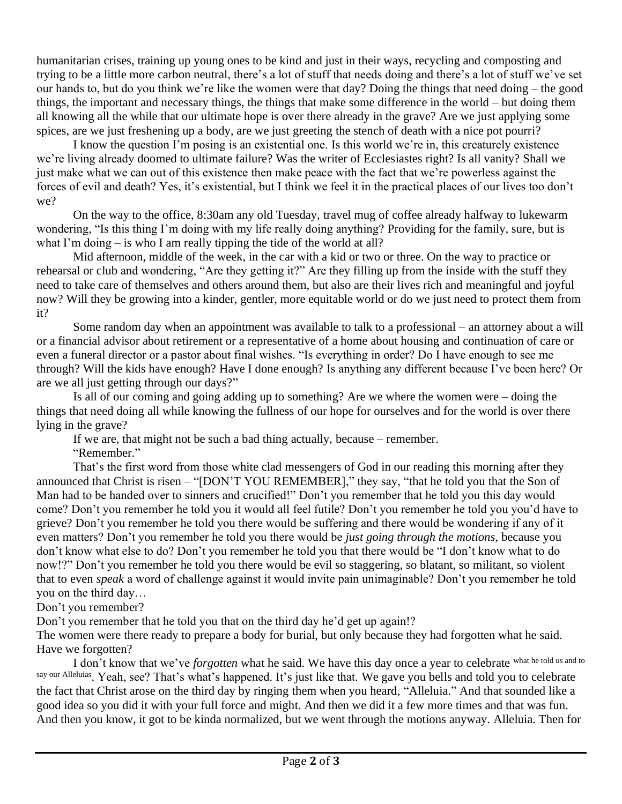humanitarian crises, training up young ones to be kind and just in their ways, recycling and composting and trying to be a little more carbon neutral, there's a lot of stuff that needs doing and there's a lot of stuff we've set our hands to, but do you think we're like the women were that day? Doing the things that need doing – the good things, the important and necessary things, the things that make some difference in the world – but doing them all knowing all the while that our ultimate hope is over there already in the grave? Are we just applying some spices, are we just freshening up a body, are we just greeting the stench of death with a nice pot pourri?

I know the question I'm posing is an existential one. Is this world we're in, this creaturely existence we're living already doomed to ultimate failure? Was the writer of Ecclesiastes right? Is all vanity? Shall we just make what we can out of this existence then make peace with the fact that we're powerless against the forces of evil and death? Yes, it's existential, but I think we feel it in the practical places of our lives too don't we?

On the way to the office, 8:30am any old Tuesday, travel mug of coffee already halfway to lukewarm wondering, "Is this thing I'm doing with my life really doing anything? Providing for the family, sure, but is what I'm doing – is who I am really tipping the tide of the world at all?

Mid afternoon, middle of the week, in the car with a kid or two or three. On the way to practice or rehearsal or club and wondering, "Are they getting it?" Are they filling up from the inside with the stuff they need to take care of themselves and others around them, but also are their lives rich and meaningful and joyful now? Will they be growing into a kinder, gentler, more equitable world or do we just need to protect them from it?

Some random day when an appointment was available to talk to a professional – an attorney about a will or a financial advisor about retirement or a representative of a home about housing and continuation of care or even a funeral director or a pastor about final wishes. "Is everything in order? Do I have enough to see me through? Will the kids have enough? Have I done enough? Is anything any different because I've been here? Or are we all just getting through our days?"

Is all of our coming and going adding up to something? Are we where the women were – doing the things that need doing all while knowing the fullness of our hope for ourselves and for the world is over there lying in the grave?

If we are, that might not be such a bad thing actually, because – remember.

"Remember."

That's the first word from those white clad messengers of God in our reading this morning after they announced that Christ is risen – "[DON'T YOU REMEMBER]," they say, "that he told you that the Son of Man had to be handed over to sinners and crucified!" Don't you remember that he told you this day would come? Don't you remember he told you it would all feel futile? Don't you remember he told you you'd have to grieve? Don't you remember he told you there would be suffering and there would be wondering if any of it even matters? Don't you remember he told you there would be *just going through the motions*, because you don't know what else to do? Don't you remember he told you that there would be "I don't know what to do now!?" Don't you remember he told you there would be evil so staggering, so blatant, so militant, so violent that to even *speak* a word of challenge against it would invite pain unimaginable? Don't you remember he told you on the third day…

Don't you remember?

Don't you remember that he told you that on the third day he'd get up again!?

The women were there ready to prepare a body for burial, but only because they had forgotten what he said. Have we forgotten?

I don't know that we've *forgotten* what he said. We have this day once a year to celebrate what he told us and to say our Alleluias. Yeah, see? That's what's happened. It's just like that. We gave you bells and told you to celebrate the fact that Christ arose on the third day by ringing them when you heard, "Alleluia." And that sounded like a good idea so you did it with your full force and might. And then we did it a few more times and that was fun. And then you know, it got to be kinda normalized, but we went through the motions anyway. Alleluia. Then for